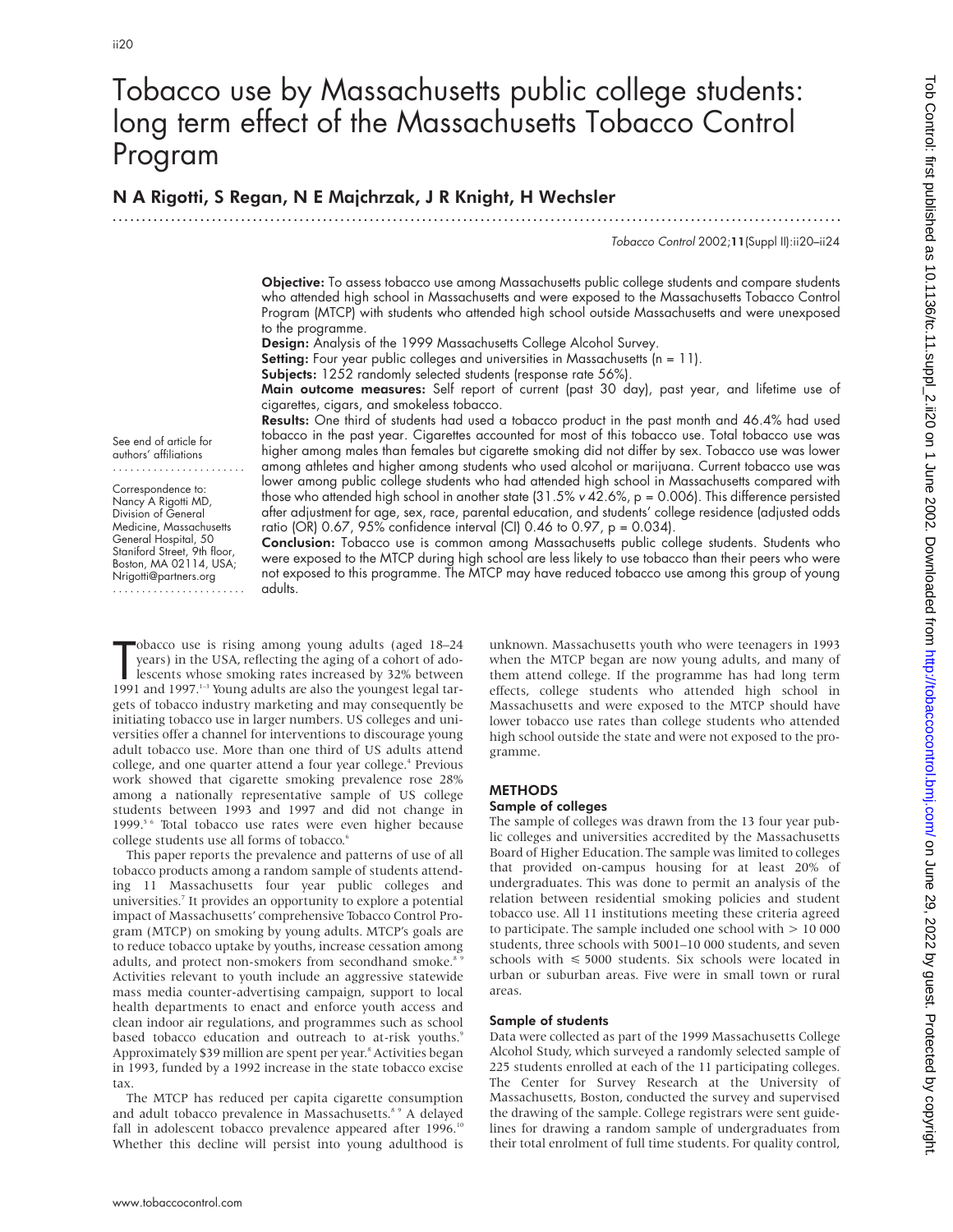# Tobacco use by Massachusetts public college students: long term effect of the Massachusetts Tobacco Control Program

.............................................................................................................................

# N A Rigotti, S Regan, N E Majchrzak, J R Knight, H Wechsler

Tobacco Control 2002;11(Suppl II):ii20–ii24

Objective: To assess tobacco use among Massachusetts public college students and compare students who attended high school in Massachusetts and were exposed to the Massachusetts Tobacco Control Program (MTCP) with students who attended high school outside Massachusetts and were unexposed to the programme.

Design: Analysis of the 1999 Massachusetts College Alcohol Survey.

Setting: Four year public colleges and universities in Massachusetts (n = 11).

Subjects: 1252 randomly selected students (response rate 56%).

Main outcome measures: Self report of current (past 30 day), past year, and lifetime use of cigarettes, cigars, and smokeless tobacco.

Results: One third of students had used a tobacco product in the past month and 46.4% had used tobacco in the past year. Cigarettes accounted for most of this tobacco use. Total tobacco use was higher among males than females but cigarette smoking did not differ by sex. Tobacco use was lower among athletes and higher among students who used alcohol or marijuana. Current tobacco use was lower among public college students who had attended high school in Massachusetts compared with those who attended high school in another state (31.5%  $v$  42.6%, p = 0.006). This difference persisted after adjustment for age, sex, race, parental education, and students' college residence (adjusted odds ratio (OR) 0.67, 95% confidence interval (CI) 0.46 to 0.97,  $p = 0.034$ ).

See end of article for authors' affiliations .......................

Correspondence to: Nancy A Rigotti MD, Division of General Medicine, Massachusetts General Hospital, 50 Staniford Street, 9th floor, Boston, MA 02114, USA; Nrigotti@partners.org .......................

Conclusion: Tobacco use is common among Massachusetts public college students. Students who were exposed to the MTCP during high school are less likely to use tobacco than their peers who were not exposed to this programme. The MTCP may have reduced tobacco use among this group of young adults.

The obacco use is rising among young adults (aged 18–24 years) in the USA, reflecting the aging of a cohort of adollescents whose smoking rates increased by 32% between 1991 and 1997.<sup>1-3</sup> Young adults are also the younges obacco use is rising among young adults (aged 18–24 years) in the USA, reflecting the aging of a cohort of adolescents whose smoking rates increased by 32% between gets of tobacco industry marketing and may consequently be initiating tobacco use in larger numbers. US colleges and universities offer a channel for interventions to discourage young adult tobacco use. More than one third of US adults attend college, and one quarter attend a four year college.<sup>4</sup> Previous work showed that cigarette smoking prevalence rose 28% among a nationally representative sample of US college students between 1993 and 1997 and did not change in 1999.<sup>5 6</sup> Total tobacco use rates were even higher because college students use all forms of tobacco.<sup>6</sup>

This paper reports the prevalence and patterns of use of all tobacco products among a random sample of students attending 11 Massachusetts four year public colleges and universities.<sup>7</sup> It provides an opportunity to explore a potential impact of Massachusetts' comprehensive Tobacco Control Program (MTCP) on smoking by young adults. MTCP's goals are to reduce tobacco uptake by youths, increase cessation among adults, and protect non-smokers from secondhand smoke.<sup>8</sup> Activities relevant to youth include an aggressive statewide mass media counter-advertising campaign, support to local health departments to enact and enforce youth access and clean indoor air regulations, and programmes such as school based tobacco education and outreach to at-risk youths.<sup>9</sup> Approximately \$39 million are spent per year.<sup>8</sup> Activities began in 1993, funded by a 1992 increase in the state tobacco excise tax.

The MTCP has reduced per capita cigarette consumption and adult tobacco prevalence in Massachusetts.<sup>8 9</sup> A delayed fall in adolescent tobacco prevalence appeared after 1996.<sup>10</sup> Whether this decline will persist into young adulthood is

unknown. Massachusetts youth who were teenagers in 1993 when the MTCP began are now young adults, and many of them attend college. If the programme has had long term effects, college students who attended high school in Massachusetts and were exposed to the MTCP should have lower tobacco use rates than college students who attended high school outside the state and were not exposed to the programme.

# **METHODS**

#### Sample of colleges

The sample of colleges was drawn from the 13 four year public colleges and universities accredited by the Massachusetts Board of Higher Education. The sample was limited to colleges that provided on-campus housing for at least 20% of undergraduates. This was done to permit an analysis of the relation between residential smoking policies and student tobacco use. All 11 institutions meeting these criteria agreed to participate. The sample included one school with > 10 000 students, three schools with 5001–10 000 students, and seven schools with < 5000 students. Six schools were located in urban or suburban areas. Five were in small town or rural areas.

#### Sample of students

Data were collected as part of the 1999 Massachusetts College Alcohol Study, which surveyed a randomly selected sample of 225 students enrolled at each of the 11 participating colleges. The Center for Survey Research at the University of Massachusetts, Boston, conducted the survey and supervised the drawing of the sample. College registrars were sent guidelines for drawing a random sample of undergraduates from their total enrolment of full time students. For quality control,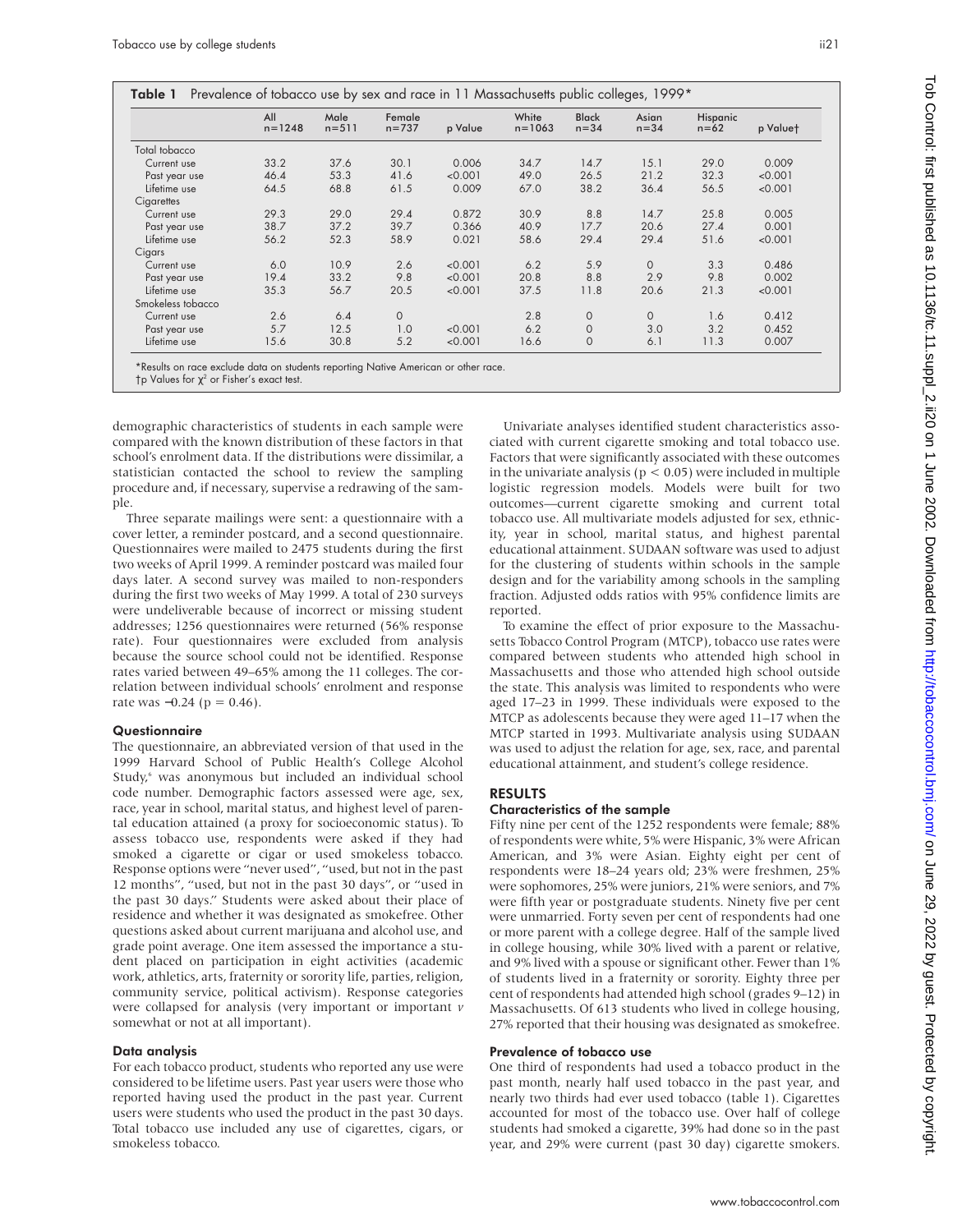|                   | All<br>$n = 1248$ | Male<br>$n = 511$ | Female<br>$n = 737$ | p Value | White<br>$n = 1063$ | <b>Black</b><br>$n = 34$ | Asian<br>$n = 34$ | Hispanic<br>$n = 62$ | p Valuet |
|-------------------|-------------------|-------------------|---------------------|---------|---------------------|--------------------------|-------------------|----------------------|----------|
| Total tobacco     |                   |                   |                     |         |                     |                          |                   |                      |          |
| Current use       | 33.2              | 37.6              | 30.1                | 0.006   | 34.7                | 14.7                     | 15.1              | 29.0                 | 0.009    |
| Past year use     | 46.4              | 53.3              | 41.6                | < 0.001 | 49.0                | 26.5                     | 21.2              | 32.3                 | < 0.001  |
| Lifetime use      | 64.5              | 68.8              | 61.5                | 0.009   | 67.0                | 38.2                     | 36.4              | 56.5                 | < 0.001  |
| Cigarettes        |                   |                   |                     |         |                     |                          |                   |                      |          |
| Current use       | 29.3              | 29.0              | 29.4                | 0.872   | 30.9                | 8.8                      | 14.7              | 25.8                 | 0.005    |
| Past year use     | 38.7              | 37.2              | 39.7                | 0.366   | 40.9                | 17.7                     | 20.6              | 27.4                 | 0.001    |
| Lifetime use      | 56.2              | 52.3              | 58.9                | 0.021   | 58.6                | 29.4                     | 29.4              | 51.6                 | < 0.001  |
| Cigars            |                   |                   |                     |         |                     |                          |                   |                      |          |
| Current use       | 6.0               | 10.9              | 2.6                 | < 0.001 | 6.2                 | 5.9                      | $\Omega$          | 3.3                  | 0.486    |
| Past year use     | 19.4              | 33.2              | 9.8                 | < 0.001 | 20.8                | 8.8                      | 2.9               | 9.8                  | 0.002    |
| Lifetime use      | 35.3              | 56.7              | 20.5                | < 0.001 | 37.5                | 11.8                     | 20.6              | 21.3                 | < 0.001  |
| Smokeless tobacco |                   |                   |                     |         |                     |                          |                   |                      |          |
| Current use       | 2.6               | 6.4               | $\circ$             |         | 2.8                 | $\mathbf{O}$             | $\mathbf{O}$      | 1.6                  | 0.412    |
| Past year use     | 5.7               | 12.5              | 1.0                 | < 0.001 | 6.2                 | $\mathbf 0$              | 3.0               | 3.2                  | 0.452    |
| Lifetime use      | 15.6              | 30.8              | 5.2                 | < 0.001 | 16.6                | $\mathbf{O}$             | 6.1               | 11.3                 | 0.007    |

 $†$ p Values for  $χ²$  or Fisher's exact test.

demographic characteristics of students in each sample were compared with the known distribution of these factors in that school's enrolment data. If the distributions were dissimilar, a statistician contacted the school to review the sampling procedure and, if necessary, supervise a redrawing of the sample.

Three separate mailings were sent: a questionnaire with a cover letter, a reminder postcard, and a second questionnaire. Questionnaires were mailed to 2475 students during the first two weeks of April 1999. A reminder postcard was mailed four days later. A second survey was mailed to non-responders during the first two weeks of May 1999. A total of 230 surveys were undeliverable because of incorrect or missing student addresses; 1256 questionnaires were returned (56% response rate). Four questionnaires were excluded from analysis because the source school could not be identified. Response rates varied between 49–65% among the 11 colleges. The correlation between individual schools' enrolment and response rate was  $-0.24$  (p = 0.46).

#### **Questionnaire**

The questionnaire, an abbreviated version of that used in the 1999 Harvard School of Public Health's College Alcohol Study,<sup>6</sup> was anonymous but included an individual school code number. Demographic factors assessed were age, sex, race, year in school, marital status, and highest level of parental education attained (a proxy for socioeconomic status). To assess tobacco use, respondents were asked if they had smoked a cigarette or cigar or used smokeless tobacco. Response options were "never used", "used, but not in the past 12 months", "used, but not in the past 30 days", or "used in the past 30 days." Students were asked about their place of residence and whether it was designated as smokefree. Other questions asked about current marijuana and alcohol use, and grade point average. One item assessed the importance a student placed on participation in eight activities (academic work, athletics, arts, fraternity or sorority life, parties, religion, community service, political activism). Response categories were collapsed for analysis (very important or important *v* somewhat or not at all important).

#### Data analysis

For each tobacco product, students who reported any use were considered to be lifetime users. Past year users were those who reported having used the product in the past year. Current users were students who used the product in the past 30 days. Total tobacco use included any use of cigarettes, cigars, or smokeless tobacco.

Univariate analyses identified student characteristics associated with current cigarette smoking and total tobacco use. Factors that were significantly associated with these outcomes in the univariate analysis ( $p < 0.05$ ) were included in multiple logistic regression models. Models were built for two outcomes—current cigarette smoking and current total tobacco use. All multivariate models adjusted for sex, ethnicity, year in school, marital status, and highest parental educational attainment. SUDAAN software was used to adjust for the clustering of students within schools in the sample design and for the variability among schools in the sampling fraction. Adjusted odds ratios with 95% confidence limits are reported.

To examine the effect of prior exposure to the Massachusetts Tobacco Control Program (MTCP), tobacco use rates were compared between students who attended high school in Massachusetts and those who attended high school outside the state. This analysis was limited to respondents who were aged 17–23 in 1999. These individuals were exposed to the MTCP as adolescents because they were aged 11–17 when the MTCP started in 1993. Multivariate analysis using SUDAAN was used to adjust the relation for age, sex, race, and parental educational attainment, and student's college residence.

# RESULTS

## Characteristics of the sample

Fifty nine per cent of the 1252 respondents were female; 88% of respondents were white, 5% were Hispanic, 3% were African American, and 3% were Asian. Eighty eight per cent of respondents were 18–24 years old; 23% were freshmen, 25% were sophomores, 25% were juniors, 21% were seniors, and 7% were fifth year or postgraduate students. Ninety five per cent were unmarried. Forty seven per cent of respondents had one or more parent with a college degree. Half of the sample lived in college housing, while 30% lived with a parent or relative, and 9% lived with a spouse or significant other. Fewer than 1% of students lived in a fraternity or sorority. Eighty three per cent of respondents had attended high school (grades 9–12) in Massachusetts. Of 613 students who lived in college housing, 27% reported that their housing was designated as smokefree.

## Prevalence of tobacco use

One third of respondents had used a tobacco product in the past month, nearly half used tobacco in the past year, and nearly two thirds had ever used tobacco (table 1). Cigarettes accounted for most of the tobacco use. Over half of college students had smoked a cigarette, 39% had done so in the past year, and 29% were current (past 30 day) cigarette smokers.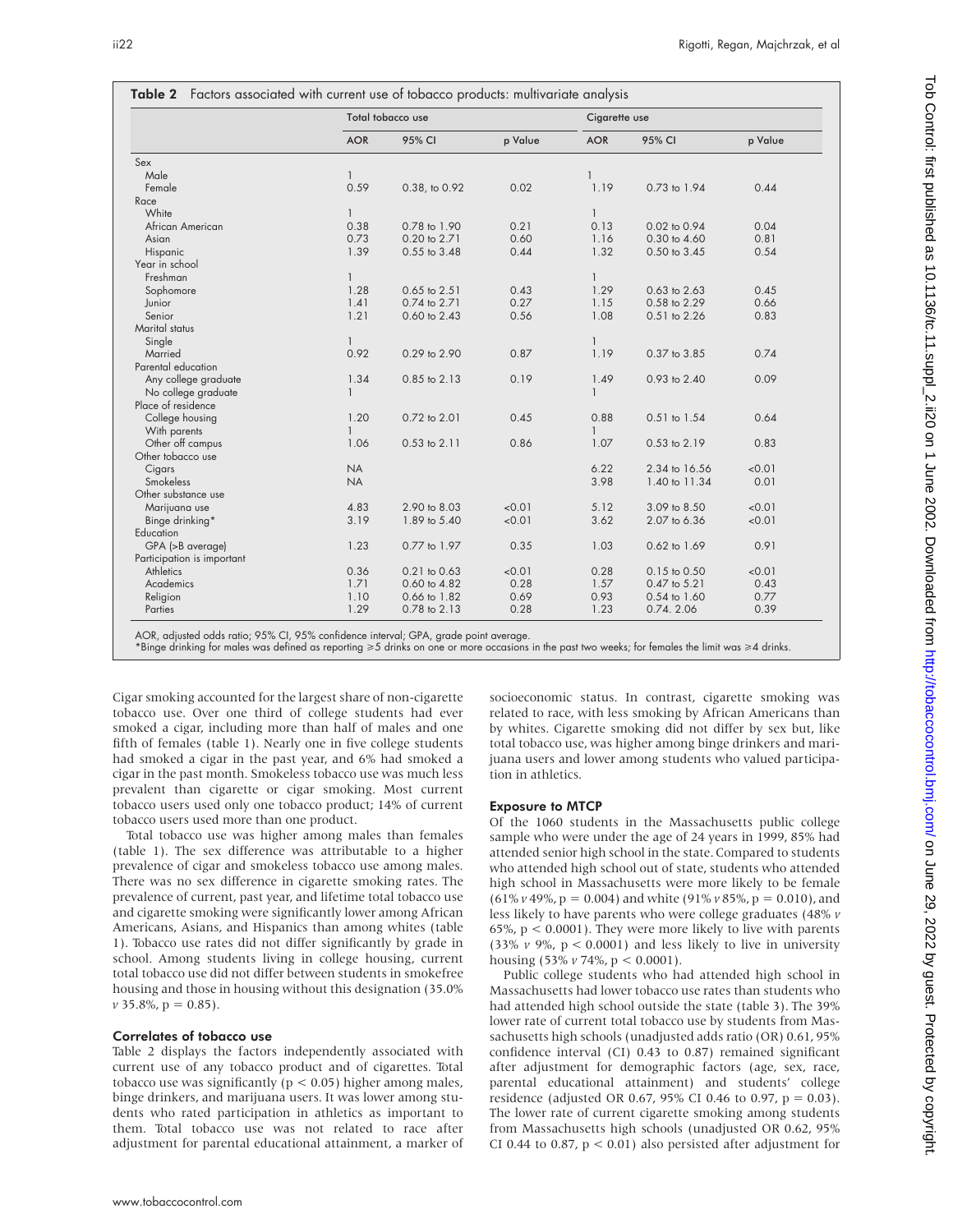|                            |              | Total tobacco use | Cigarette use |              |               |         |
|----------------------------|--------------|-------------------|---------------|--------------|---------------|---------|
|                            | <b>AOR</b>   | 95% CI            | p Value       | <b>AOR</b>   | 95% CI        | p Value |
| Sex                        |              |                   |               |              |               |         |
| Male                       | $\mathbf{1}$ |                   |               | 1            |               |         |
| Female                     | 0.59         | 0.38, to 0.92     | 0.02          | 1.19         | 0.73 to 1.94  | 0.44    |
| Race                       |              |                   |               |              |               |         |
| White                      | $\mathbf{1}$ |                   |               | $\mathbf{1}$ |               |         |
| African American           | 0.38         | 0.78 to 1.90      | 0.21          | 0.13         | 0.02 to 0.94  | 0.04    |
| Asian                      | 0.73         | 0.20 to 2.71      | 0.60          | 1.16         | 0.30 to 4.60  | 0.81    |
| Hispanic                   | 1.39         | 0.55 to 3.48      | 0.44          | 1.32         | 0.50 to 3.45  | 0.54    |
| Year in school             |              |                   |               |              |               |         |
| Freshman                   | $\mathbf{1}$ |                   |               | $\mathbf{1}$ |               |         |
| Sophomore                  | 1.28         | 0.65 to 2.51      | 0.43          | 1.29         | 0.63 to 2.63  | 0.45    |
| Junior                     | 1.41         | 0.74 to 2.71      | 0.27          | 1.15         | 0.58 to 2.29  | 0.66    |
| Senior                     | 1.21         | 0.60 to 2.43      | 0.56          | 1.08         | 0.51 to 2.26  | 0.83    |
| Marital status             |              |                   |               |              |               |         |
| Single                     | $\mathbf{1}$ |                   |               | $\mathbf{1}$ |               |         |
| Married                    | 0.92         | 0.29 to 2.90      | 0.87          | 1.19         | 0.37 to 3.85  | 0.74    |
| Parental education         |              |                   |               |              |               |         |
| Any college graduate       | 1.34         | 0.85 to 2.13      | 0.19          | 1.49         | 0.93 to 2.40  | 0.09    |
| No college graduate        | $\mathbf{1}$ |                   |               | $\mathbf{1}$ |               |         |
| Place of residence         |              |                   |               |              |               |         |
| College housing            | 1.20         | 0.72 to 2.01      | 0.45          | 0.88         | 0.51 to 1.54  | 0.64    |
| With parents               | $\mathbf{1}$ |                   |               | $\mathbf{1}$ |               |         |
| Other off campus           | 1.06         | $0.53$ to $2.11$  | 0.86          | 1.07         | 0.53 to 2.19  | 0.83    |
| Other tobacco use          |              |                   |               |              |               |         |
| Cigars                     | <b>NA</b>    |                   |               | 6.22         | 2.34 to 16.56 | < 0.01  |
| Smokeless                  | <b>NA</b>    |                   |               | 3.98         | 1.40 to 11.34 | 0.01    |
| Other substance use        |              |                   |               |              |               |         |
| Marijuana use              | 4.83         | 2.90 to 8.03      | < 0.01        | 5.12         | 3.09 to 8.50  | < 0.01  |
| Binge drinking*            | 3.19         | 1.89 to 5.40      | < 0.01        | 3.62         | 2.07 to 6.36  | < 0.01  |
| Education                  |              |                   |               |              |               |         |
| GPA (>B average)           | 1.23         | 0.77 to 1.97      | 0.35          | 1.03         | 0.62 to 1.69  | 0.91    |
| Participation is important |              |                   |               |              |               |         |
| <b>Athletics</b>           | 0.36         | 0.21 to 0.63      | < 0.01        | 0.28         | 0.15 to 0.50  | < 0.01  |
| Academics                  | 1.71         | 0.60 to 4.82      | 0.28          | 1.57         | 0.47 to 5.21  | 0.43    |
| Religion                   | 1.10         | 0.66 to 1.82      | 0.69          | 0.93         | 0.54 to 1.60  | 0.77    |
| Parties                    | 1.29         | 0.78 to 2.13      | 0.28          | 1.23         | 0.74.2.06     | 0.39    |

AOR, adjusted odds ratio; 95% CI, 95% confidence interval; GPA, grade point average.

\*Binge drinking for males was defined as reporting >5 drinks on one or more occasions in the past two weeks; for females the limit was >4 drinks.

Cigar smoking accounted for the largest share of non-cigarette tobacco use. Over one third of college students had ever smoked a cigar, including more than half of males and one fifth of females (table 1). Nearly one in five college students had smoked a cigar in the past year, and 6% had smoked a cigar in the past month. Smokeless tobacco use was much less prevalent than cigarette or cigar smoking. Most current tobacco users used only one tobacco product; 14% of current tobacco users used more than one product.

Total tobacco use was higher among males than females (table 1). The sex difference was attributable to a higher prevalence of cigar and smokeless tobacco use among males. There was no sex difference in cigarette smoking rates. The prevalence of current, past year, and lifetime total tobacco use and cigarette smoking were significantly lower among African Americans, Asians, and Hispanics than among whites (table 1). Tobacco use rates did not differ significantly by grade in school. Among students living in college housing, current total tobacco use did not differ between students in smokefree housing and those in housing without this designation (35.0%  $v$  35.8%,  $p = 0.85$ ).

#### Correlates of tobacco use

Table 2 displays the factors independently associated with current use of any tobacco product and of cigarettes. Total tobacco use was significantly ( $p < 0.05$ ) higher among males, binge drinkers, and marijuana users. It was lower among students who rated participation in athletics as important to them. Total tobacco use was not related to race after adjustment for parental educational attainment, a marker of socioeconomic status. In contrast, cigarette smoking was related to race, with less smoking by African Americans than by whites. Cigarette smoking did not differ by sex but, like total tobacco use, was higher among binge drinkers and marijuana users and lower among students who valued participation in athletics.

#### Exposure to MTCP

Of the 1060 students in the Massachusetts public college sample who were under the age of 24 years in 1999, 85% had attended senior high school in the state. Compared to students who attended high school out of state, students who attended high school in Massachusetts were more likely to be female (61% *v* 49%, p = 0.004) and white (91% *v* 85%, p = 0.010), and less likely to have parents who were college graduates (48% *v* 65%,  $p < 0.0001$ ). They were more likely to live with parents (33%  $\nu$  9%,  $p < 0.0001$ ) and less likely to live in university housing (53% *v* 74%, p < 0.0001).

Public college students who had attended high school in Massachusetts had lower tobacco use rates than students who had attended high school outside the state (table 3). The 39% lower rate of current total tobacco use by students from Massachusetts high schools (unadjusted adds ratio (OR) 0.61, 95% confidence interval (CI) 0.43 to 0.87) remained significant after adjustment for demographic factors (age, sex, race, parental educational attainment) and students' college residence (adjusted OR 0.67, 95% CI 0.46 to 0.97, p = 0.03). The lower rate of current cigarette smoking among students from Massachusetts high schools (unadjusted OR 0.62, 95% CI 0.44 to 0.87,  $p < 0.01$ ) also persisted after adjustment for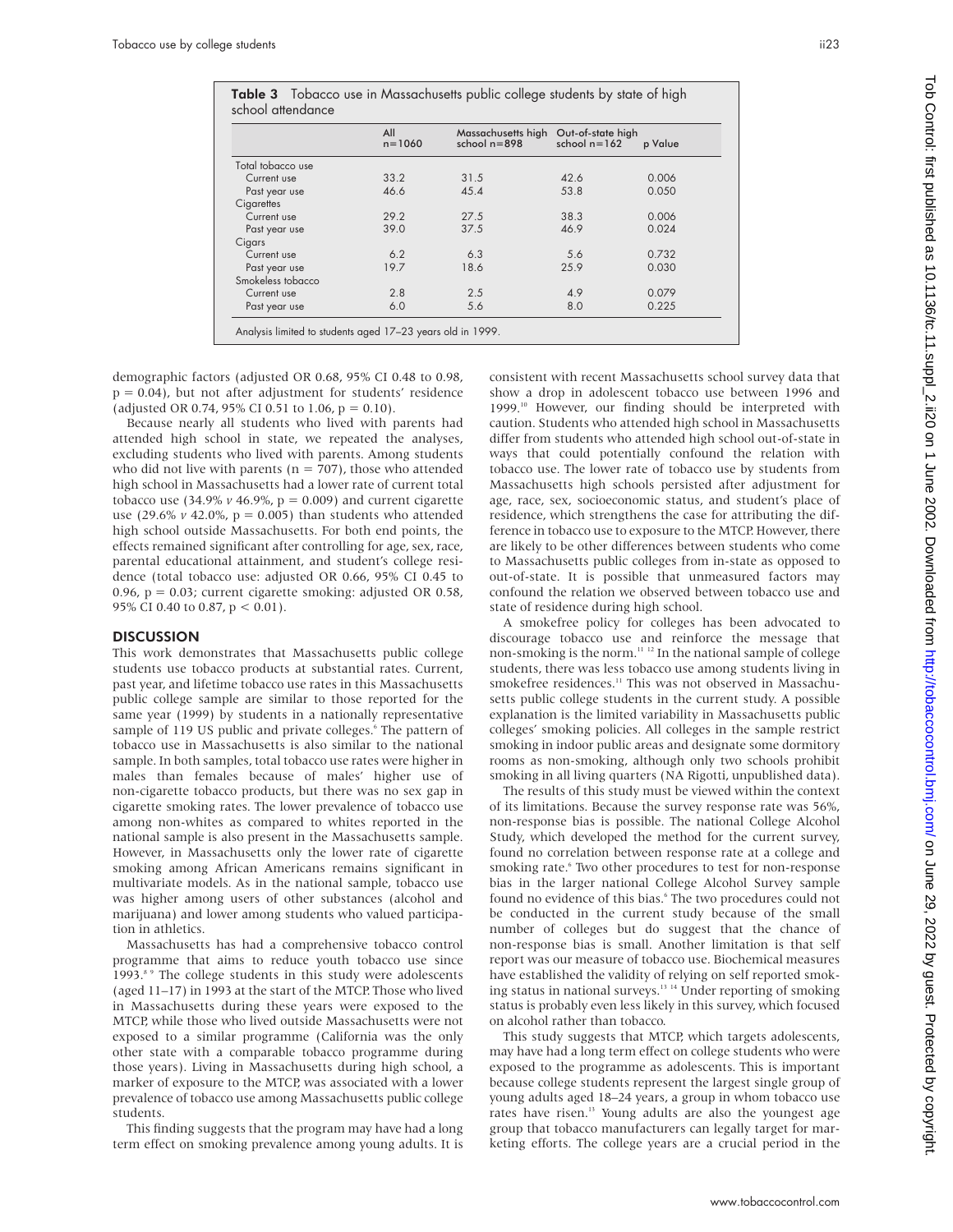|                   | All<br>$n = 1060$ | Massachusetts high<br>school $n = 898$ | Out-of-state high<br>school $n = 162$ | p Value |  |
|-------------------|-------------------|----------------------------------------|---------------------------------------|---------|--|
| Total tobacco use |                   |                                        |                                       |         |  |
| Current use       | 33.2              | 31.5                                   | 42.6                                  | 0.006   |  |
| Past year use     | 46.6              | 45.4                                   | 53.8                                  | 0.050   |  |
| Cigarettes        |                   |                                        |                                       |         |  |
| Current use       | 29.2              | 27.5                                   | 38.3                                  | 0.006   |  |
| Past year use     | 39.0              | 37.5                                   | 46.9                                  | 0.024   |  |
| Cigars            |                   |                                        |                                       |         |  |
| Current use       | 6.2               | 6.3                                    | 5.6                                   | 0.732   |  |
| Past year use     | 19.7              | 18.6                                   | 25.9                                  | 0.030   |  |
| Smokeless tobacco |                   |                                        |                                       |         |  |
| Current use       | 2.8               | 2.5                                    | 4.9                                   | 0.079   |  |
| Past year use     | 6.0               | 5.6                                    | 8.0                                   | 0.225   |  |

demographic factors (adjusted OR 0.68, 95% CI 0.48 to 0.98,  $p = 0.04$ ), but not after adjustment for students' residence (adjusted OR 0.74, 95% CI 0.51 to 1.06,  $p = 0.10$ ).

Because nearly all students who lived with parents had attended high school in state, we repeated the analyses, excluding students who lived with parents. Among students who did not live with parents ( $n = 707$ ), those who attended high school in Massachusetts had a lower rate of current total tobacco use  $(34.9\% v 46.9\%, p = 0.009)$  and current cigarette use (29.6% *v* 42.0%, p = 0.005) than students who attended high school outside Massachusetts. For both end points, the effects remained significant after controlling for age, sex, race, parental educational attainment, and student's college residence (total tobacco use: adjusted OR 0.66, 95% CI 0.45 to 0.96,  $p = 0.03$ ; current cigarette smoking: adjusted OR 0.58, 95% CI 0.40 to 0.87, p < 0.01).

### **DISCUSSION**

This work demonstrates that Massachusetts public college students use tobacco products at substantial rates. Current, past year, and lifetime tobacco use rates in this Massachusetts public college sample are similar to those reported for the same year (1999) by students in a nationally representative sample of 119 US public and private colleges.<sup>6</sup> The pattern of tobacco use in Massachusetts is also similar to the national sample. In both samples, total tobacco use rates were higher in males than females because of males' higher use of non-cigarette tobacco products, but there was no sex gap in cigarette smoking rates. The lower prevalence of tobacco use among non-whites as compared to whites reported in the national sample is also present in the Massachusetts sample. However, in Massachusetts only the lower rate of cigarette smoking among African Americans remains significant in multivariate models. As in the national sample, tobacco use was higher among users of other substances (alcohol and marijuana) and lower among students who valued participation in athletics.

Massachusetts has had a comprehensive tobacco control programme that aims to reduce youth tobacco use since 1993.<sup>8</sup> 9 The college students in this study were adolescents (aged 11–17) in 1993 at the start of the MTCP. Those who lived in Massachusetts during these years were exposed to the MTCP, while those who lived outside Massachusetts were not exposed to a similar programme (California was the only other state with a comparable tobacco programme during those years). Living in Massachusetts during high school, a marker of exposure to the MTCP, was associated with a lower prevalence of tobacco use among Massachusetts public college students.

This finding suggests that the program may have had a long term effect on smoking prevalence among young adults. It is

consistent with recent Massachusetts school survey data that show a drop in adolescent tobacco use between 1996 and 1999.<sup>10</sup> However, our finding should be interpreted with caution. Students who attended high school in Massachusetts differ from students who attended high school out-of-state in ways that could potentially confound the relation with tobacco use. The lower rate of tobacco use by students from Massachusetts high schools persisted after adjustment for age, race, sex, socioeconomic status, and student's place of residence, which strengthens the case for attributing the difference in tobacco use to exposure to the MTCP. However, there are likely to be other differences between students who come to Massachusetts public colleges from in-state as opposed to out-of-state. It is possible that unmeasured factors may confound the relation we observed between tobacco use and state of residence during high school.

A smokefree policy for colleges has been advocated to discourage tobacco use and reinforce the message that non-smoking is the norm.11 12 In the national sample of college students, there was less tobacco use among students living in smokefree residences.<sup>11</sup> This was not observed in Massachusetts public college students in the current study. A possible explanation is the limited variability in Massachusetts public colleges' smoking policies. All colleges in the sample restrict smoking in indoor public areas and designate some dormitory rooms as non-smoking, although only two schools prohibit smoking in all living quarters (NA Rigotti, unpublished data).

The results of this study must be viewed within the context of its limitations. Because the survey response rate was 56%, non-response bias is possible. The national College Alcohol Study, which developed the method for the current survey, found no correlation between response rate at a college and smoking rate.<sup>6</sup> Two other procedures to test for non-response bias in the larger national College Alcohol Survey sample found no evidence of this bias.<sup>6</sup> The two procedures could not be conducted in the current study because of the small number of colleges but do suggest that the chance of non-response bias is small. Another limitation is that self report was our measure of tobacco use. Biochemical measures have established the validity of relying on self reported smoking status in national surveys.13 14 Under reporting of smoking status is probably even less likely in this survey, which focused on alcohol rather than tobacco.

This study suggests that MTCP, which targets adolescents, may have had a long term effect on college students who were exposed to the programme as adolescents. This is important because college students represent the largest single group of young adults aged 18–24 years, a group in whom tobacco use rates have risen.13 Young adults are also the youngest age group that tobacco manufacturers can legally target for marketing efforts. The college years are a crucial period in the